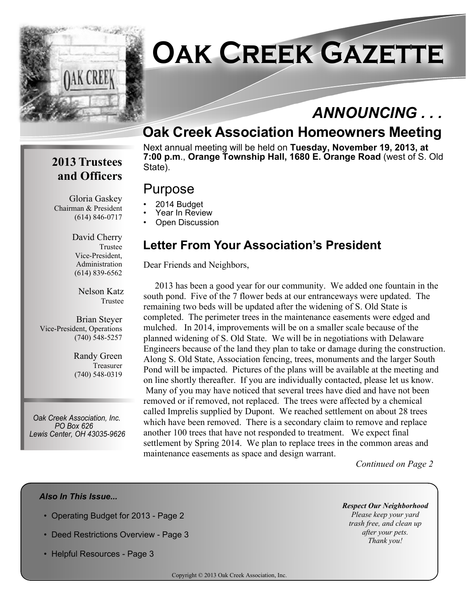

# **Oak Creek Gazette**

## *ANNOUNCING . . .*

## **Oak Creek Association Homeowners Meeting**

Next annual meeting will be held on **Tuesday, November 19, 2013, at 7:00 p.m**., **Orange Township Hall, 1680 E. Orange Road** (west of S. Old State).

## **2013 Trustees and Officers**

Gloria Gaskey Chairman & President (614) 846-0717

> David Cherry Trustee Vice-President, Administration (614) 839-6562

> > Nelson Katz Trustee

Brian Steyer Vice-President, Operations (740) 548-5257

> Randy Green Treasurer (740) 548-0319

*Oak Creek Association, Inc. PO Box 626 Lewis Center, OH 43035-9626*

## **Letter From Your Association's President**

Dear Friends and Neighbors,

Purpose

• 2014 Budget Year In Review **Open Discussion** 

 2013 has been a good year for our community. We added one fountain in the south pond. Five of the 7 flower beds at our entranceways were updated. The remaining two beds will be updated after the widening of S. Old State is completed. The perimeter trees in the maintenance easements were edged and mulched. In 2014, improvements will be on a smaller scale because of the planned widening of S. Old State. We will be in negotiations with Delaware Engineers because of the land they plan to take or damage during the construction. Along S. Old State, Association fencing, trees, monuments and the larger South Pond will be impacted. Pictures of the plans will be available at the meeting and on line shortly thereafter. If you are individually contacted, please let us know. Many of you may have noticed that several trees have died and have not been removed or if removed, not replaced. The trees were affected by a chemical called Imprelis supplied by Dupont. We reached settlement on about 28 trees which have been removed. There is a secondary claim to remove and replace another 100 trees that have not responded to treatment. We expect final settlement by Spring 2014. We plan to replace trees in the common areas and maintenance easements as space and design warrant.

 *Continued on Page 2*

#### *Also In This Issue...*

- Operating Budget for 2013 Page 2
- Deed Restrictions Overview Page 3
- Helpful Resources Page 3

*Respect Our Neighborhood Please keep your yard trash free, and clean up after your pets. Thank you!*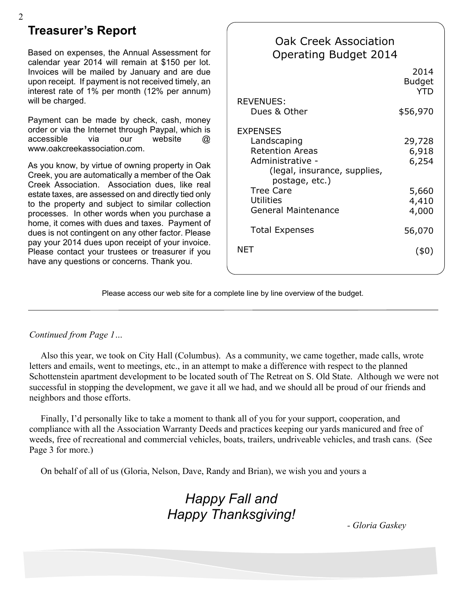### **Treasurer's Report**

Based on expenses, the Annual Assessment for calendar year 2014 will remain at \$150 per lot. Invoices will be mailed by January and are due upon receipt. If payment is not received timely, an interest rate of 1% per month (12% per annum) will be charged.

Payment can be made by check, cash, money order or via the Internet through Paypal, which is accessible via our website @ www.oakcreekassociation.com.

As you know, by virtue of owning property in Oak Creek, you are automatically a member of the Oak Creek Association. Association dues, like real estate taxes, are assessed on and directly tied only to the property and subject to similar collection processes. In other words when you purchase a home, it comes with dues and taxes. Payment of dues is not contingent on any other factor. Please pay your 2014 dues upon receipt of your invoice. Please contact your trustees or treasurer if you have any questions or concerns. Thank you.

| <b>Oak Creek Association</b><br><b>Operating Budget 2014</b>                                                                                                                                         |                                                     |
|------------------------------------------------------------------------------------------------------------------------------------------------------------------------------------------------------|-----------------------------------------------------|
|                                                                                                                                                                                                      | 2014<br><b>Budget</b><br>YTD                        |
| <b>REVENUES:</b><br>Dues & Other                                                                                                                                                                     | \$56,970                                            |
| <b>EXPENSES</b><br>Landscaping<br><b>Retention Areas</b><br>Administrative -<br>(legal, insurance, supplies,<br>postage, etc.)<br><b>Tree Care</b><br><b>Utilities</b><br><b>General Maintenance</b> | 29,728<br>6,918<br>6,254<br>5,660<br>4,410<br>4,000 |
| <b>Total Expenses</b>                                                                                                                                                                                | 56,070                                              |
| NFT                                                                                                                                                                                                  | (40)                                                |

Please access our web site for a complete line by line overview of the budget.

#### *Continued from Page 1…*

 Also this year, we took on City Hall (Columbus). As a community, we came together, made calls, wrote letters and emails, went to meetings, etc., in an attempt to make a difference with respect to the planned Schottenstein apartment development to be located south of The Retreat on S. Old State. Although we were not successful in stopping the development, we gave it all we had, and we should all be proud of our friends and neighbors and those efforts.

 Finally, I'd personally like to take a moment to thank all of you for your support, cooperation, and compliance with all the Association Warranty Deeds and practices keeping our yards manicured and free of weeds, free of recreational and commercial vehicles, boats, trailers, undriveable vehicles, and trash cans. (See Page 3 for more.)

On behalf of all of us (Gloria, Nelson, Dave, Randy and Brian), we wish you and yours a

## *Happy Fall and Happy Thanksgiving!*

*- Gloria Gaskey*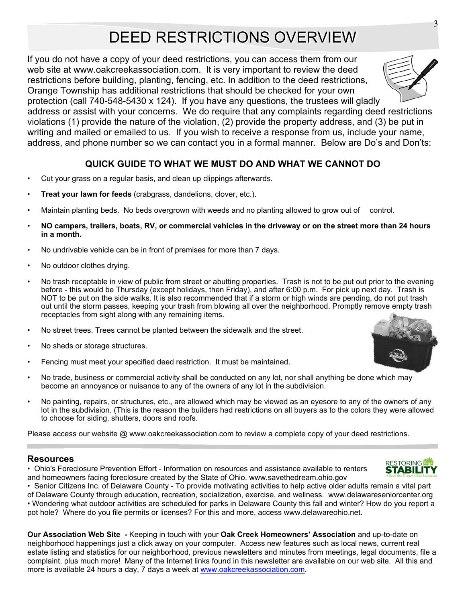## DEED RESTRICTIONS OVERVIEW

If you do not have a copy of your deed restrictions, you can access them from our web site at www.oakcreekassociation.com. It is very important to review the deed restrictions before building, planting, fencing, etc. In addition to the deed restrictions, Orange Township has additional restrictions that should be checked for your own

protection (call 740-548-5430 x 124). If you have any questions, the trustees will gladly address or assist with your concerns. We do require that any complaints regarding deed restrictions violations (1) provide the nature of the violation, (2) provide the property address, and (3) be put in writing and mailed or emailed to us. If you wish to receive a response from us, include your name, address, and phone number so we can contact you in a formal manner. Below are Do's and Don'ts:

#### **QUICK GUIDE TO WHAT WE MUST DO AND WHAT WE CANNOT DO**

- Cut your grass on a regular basis, and clean up clippings afterwards.
- **Treat your lawn for feeds** (crabgrass, dandelions, clover, etc.).
- Maintain planting beds. No beds overgrown with weeds and no planting allowed to grow out of control.
- **NO campers, trailers, boats, RV, or commercial vehicles in the driveway or on the street more than 24 hours in a month.**
- No undrivable vehicle can be in front of premises for more than 7 days.
- No outdoor clothes drying.
- No trash receptable in view of public from street or abutting properties. Trash is not to be put out prior to the evening before - this would be Thursday (except holidays, then Friday), and after 6:00 p.m. For pick up next day. Trash is NOT to be put on the side walks. It is also recommended that if a storm or high winds are pending, do not put trash out until the storm passes, keeping your trash from blowing all over the neighborhood. Promptly remove empty trash receptacles from sight along with any remaining items.
- No street trees. Trees cannot be planted between the sidewalk and the street.
- No sheds or storage structures.
- Fencing must meet your specified deed restriction. It must be maintained.
- No trade, business or commercial activity shall be conducted on any lot, nor shall anything be done which may become an annoyance or nuisance to any of the owners of any lot in the subdivision.
- No painting, repairs, or structures, etc., are allowed which may be viewed as an eyesore to any of the owners of any lot in the subdivision. (This is the reason the builders had restrictions on all buyers as to the colors they were allowed to choose for siding, shutters, doors and roofs.

Please access our website @ www.oakcreekassociation.com to review a complete copy of your deed restrictions.

#### **Resources**

• Ohio's Foreclosure Prevention Effort - Information on resources and assistance available to renters and homeowners facing foreclosure created by the State of Ohio. www.savethedream.ohio.gov

• Senior Citizens Inc. of Delaware County - To provide motivating activities to help active older adults remain a vital part of Delaware County through education, recreation, socialization, exercise, and wellness. www.delawareseniorcenter.org • Wondering what outdoor activities are scheduled for parks in Delaware County this fall and winter? How do you report a pot hole? Where do you file permits or licenses? For this and more, access www.delawareohio.net.

**Our Association Web Site** *-* Keeping in touch with your **Oak Creek Homeowners' Association** and up-to-date on neighborhood happenings just a click away on your computer. Access new features such as local news, current real estate listing and statistics for our neighborhood, previous newsletters and minutes from meetings, legal documents, file a complaint, plus much more! Many of the Internet links found in this newsletter are available on our web site. All this and more is available 24 hours a day, 7 days a week at www.oakcreekassociation.com.